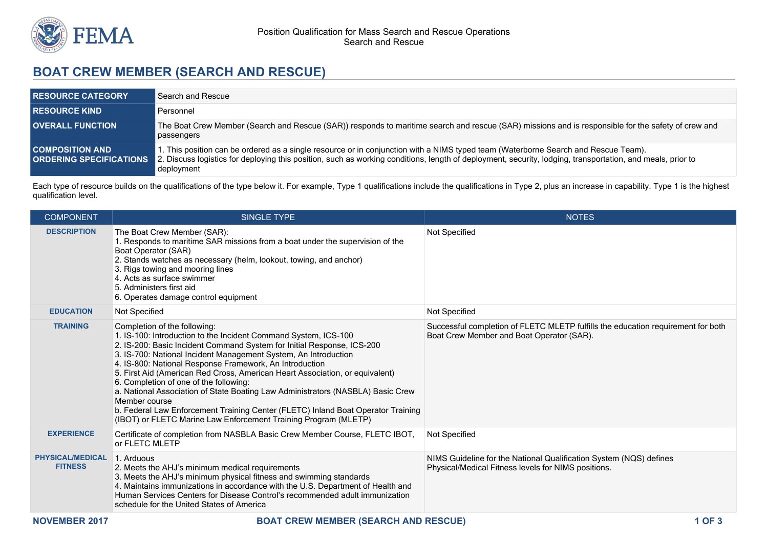

## **BOAT CREW MEMBER (SEARCH AND RESCUE)**

| <b>RESOURCE CATEGORY</b>                                 | Search and Rescue                                                                                                                                                                                                                                                                                              |
|----------------------------------------------------------|----------------------------------------------------------------------------------------------------------------------------------------------------------------------------------------------------------------------------------------------------------------------------------------------------------------|
| <b>RESOURCE KIND</b>                                     | Personnel                                                                                                                                                                                                                                                                                                      |
| <b>OVERALL FUNCTION</b>                                  | The Boat Crew Member (Search and Rescue (SAR)) responds to maritime search and rescue (SAR) missions and is responsible for the safety of crew and<br>passengers                                                                                                                                               |
| <b>COMPOSITION AND</b><br><b>ORDERING SPECIFICATIONS</b> | I. This position can be ordered as a single resource or in conjunction with a NIMS typed team (Waterborne Search and Rescue Team).<br>2. Discuss logistics for deploying this position, such as working conditions, length of deployment, security, lodging, transportation, and meals, prior to<br>deployment |

Each type of resource builds on the qualifications of the type below it. For example, Type 1 qualifications include the qualifications in Type 2, plus an increase in capability. Type 1 is the highest qualification level.

| <b>COMPONENT</b>                          | <b>SINGLE TYPE</b>                                                                                                                                                                                                                                                                                                                                                                                                                                                                                                                                                                                                                                                                           | <b>NOTES</b>                                                                                                                  |
|-------------------------------------------|----------------------------------------------------------------------------------------------------------------------------------------------------------------------------------------------------------------------------------------------------------------------------------------------------------------------------------------------------------------------------------------------------------------------------------------------------------------------------------------------------------------------------------------------------------------------------------------------------------------------------------------------------------------------------------------------|-------------------------------------------------------------------------------------------------------------------------------|
| <b>DESCRIPTION</b>                        | The Boat Crew Member (SAR):<br>1. Responds to maritime SAR missions from a boat under the supervision of the<br>Boat Operator (SAR)<br>2. Stands watches as necessary (helm, lookout, towing, and anchor)<br>3. Rigs towing and mooring lines<br>4. Acts as surface swimmer<br>5. Administers first aid<br>6. Operates damage control equipment                                                                                                                                                                                                                                                                                                                                              | Not Specified                                                                                                                 |
| <b>EDUCATION</b>                          | Not Specified                                                                                                                                                                                                                                                                                                                                                                                                                                                                                                                                                                                                                                                                                | Not Specified                                                                                                                 |
| <b>TRAINING</b>                           | Completion of the following:<br>1. IS-100: Introduction to the Incident Command System, ICS-100<br>2. IS-200: Basic Incident Command System for Initial Response, ICS-200<br>3. IS-700: National Incident Management System, An Introduction<br>4. IS-800: National Response Framework, An Introduction<br>5. First Aid (American Red Cross, American Heart Association, or equivalent)<br>6. Completion of one of the following:<br>a. National Association of State Boating Law Administrators (NASBLA) Basic Crew<br>Member course<br>b. Federal Law Enforcement Training Center (FLETC) Inland Boat Operator Training<br>(IBOT) or FLETC Marine Law Enforcement Training Program (MLETP) | Successful completion of FLETC MLETP fulfills the education requirement for both<br>Boat Crew Member and Boat Operator (SAR). |
| <b>EXPERIENCE</b>                         | Certificate of completion from NASBLA Basic Crew Member Course, FLETC IBOT,<br>or FLETC MLETP                                                                                                                                                                                                                                                                                                                                                                                                                                                                                                                                                                                                | Not Specified                                                                                                                 |
| <b>PHYSICAL/MEDICAL</b><br><b>FITNESS</b> | 1. Arduous<br>2. Meets the AHJ's minimum medical requirements<br>3. Meets the AHJ's minimum physical fitness and swimming standards<br>4. Maintains immunizations in accordance with the U.S. Department of Health and<br>Human Services Centers for Disease Control's recommended adult immunization<br>schedule for the United States of America                                                                                                                                                                                                                                                                                                                                           | NIMS Guideline for the National Qualification System (NQS) defines<br>Physical/Medical Fitness levels for NIMS positions.     |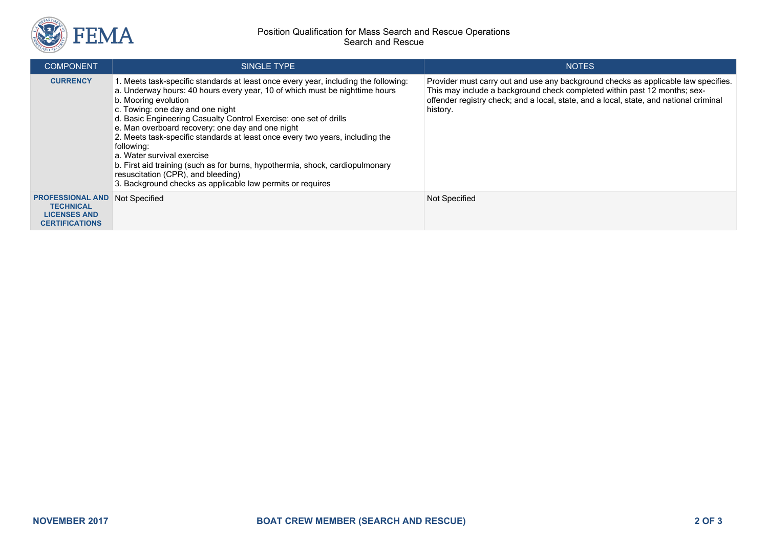

## Position Qualification for Mass Search and Rescue Operations Search and Rescue

| <b>COMPONENT</b>                                                                                          | <b>SINGLE TYPE</b>                                                                                                                                                                                                                                                                                                                                                                                                                                                                                                                                                                                                                                                        | <b>NOTES</b>                                                                                                                                                                                                                                                          |
|-----------------------------------------------------------------------------------------------------------|---------------------------------------------------------------------------------------------------------------------------------------------------------------------------------------------------------------------------------------------------------------------------------------------------------------------------------------------------------------------------------------------------------------------------------------------------------------------------------------------------------------------------------------------------------------------------------------------------------------------------------------------------------------------------|-----------------------------------------------------------------------------------------------------------------------------------------------------------------------------------------------------------------------------------------------------------------------|
| <b>CURRENCY</b>                                                                                           | 1. Meets task-specific standards at least once every year, including the following:<br>a. Underway hours: 40 hours every year, 10 of which must be nighttime hours<br>b. Mooring evolution<br>c. Towing: one day and one night<br>d. Basic Engineering Casualty Control Exercise: one set of drills<br>e. Man overboard recovery: one day and one night<br>2. Meets task-specific standards at least once every two years, including the<br>following:<br>a. Water survival exercise<br>b. First aid training (such as for burns, hypothermia, shock, cardiopulmonary<br>resuscitation (CPR), and bleeding)<br>3. Background checks as applicable law permits or requires | Provider must carry out and use any background checks as applicable law specifies.<br>This may include a background check completed within past 12 months; sex-<br>offender registry check; and a local, state, and a local, state, and national criminal<br>history. |
| <b>PROFESSIONAL AND Not Specified</b><br><b>TECHNICAL</b><br><b>LICENSES AND</b><br><b>CERTIFICATIONS</b> |                                                                                                                                                                                                                                                                                                                                                                                                                                                                                                                                                                                                                                                                           | Not Specified                                                                                                                                                                                                                                                         |